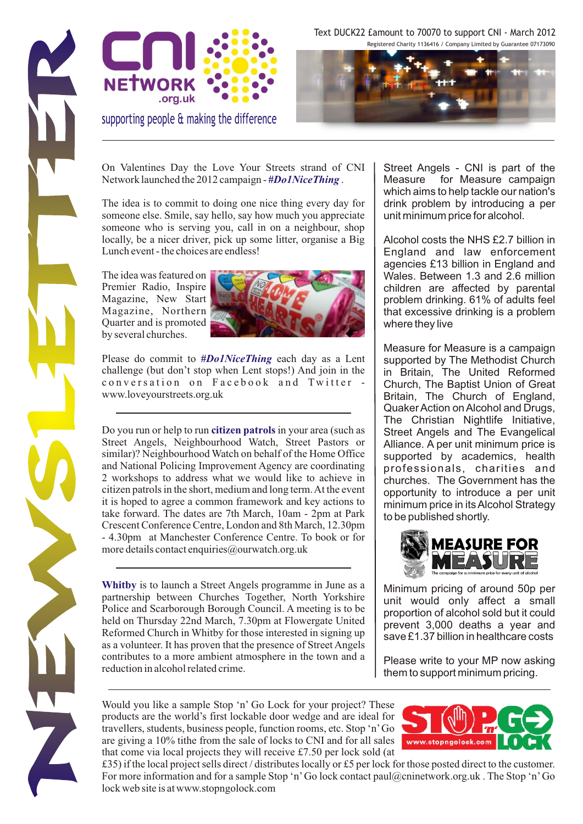



supporting people & making the difference

Text DUCK22 £amount to 70070 to support CNI - March 2012 Registered Charity 1136416 / Company Limited by Guarantee 07173090



On Valentines Day the Love Your Streets strand of CNI Network launched the 2012 campaign - #Do1NiceThing.

The idea is to commit to doing one nice thing every day for someone else. Smile, say hello, say how much you appreciate someone who is serving you, call in on a neighbour, shop locally, be a nicer driver, pick up some litter, organise a Big Lunch event - the choices are endless!

The idea was featured on Premier Radio, Inspire Magazine, New Start Magazine, Northern Quarter and is promoted by several churches.



Please do commit to #Do1NiceThing each day as a Lent challenge (but don't stop when Lent stops!) And join in the conversation on Facebook and Twitter www.loveyourstreets.org.uk

Do you run or help to run citizen patrols in your area (such as Street Angels, Neighbourhood Watch, Street Pastors or similar)? Neighbourhood Watch on behalf of the Home Office and National Policing Improvement Agency are coordinating 2 workshops to address what we would like to achieve in citizen patrols in the short, medium and long term. At the event it is hoped to agree a common framework and key actions to take forward. The dates are 7th March, 10am - 2pm at Park Crescent Conference Centre, London and 8th March, 12.30pm - 4.30pm at Manchester Conference Centre. To book or for more details contact enquiries@ourwatch.org.uk

Whitby is to launch a Street Angels programme in June as a partnership between Churches Together, North Yorkshire Police and Scarborough Borough Council. A meeting is to be held on Thursday 22nd March, 7.30pm at Flowergate United Reformed Church in Whitby for those interested in signing up as a volunteer. It has proven that the presence of Street Angels contributes to a more ambient atmosphere in the town and a reduction in alcohol related crime.

Street Angels - CNI is part of the Measure for Measure campaign which aims to help tackle our nation's drink problem by introducing a per unit minimum price for alcohol.

Alcohol costs the NHS £2.7 billion in England and law enforcement agencies £13 billion in England and Wales. Between 1.3 and 2.6 million children are affected by parental problem drinking. 61% of adults feel that excessive drinking is a problem where they live

Measure for Measure is a campaign supported by The Methodist Church in Britain, The United Reformed Church, The Baptist Union of Great Britain, The Church of England, Quaker Action on Alcohol and Drugs, The Christian Nightlife Initiative, Street Angels and The Evangelical Alliance. A per unit minimum price is supported by academics, health professionals, charities and churches. The Government has the opportunity to introduce a per unit minimum price in its Alcohol Strategy to be published shortly.



Minimum pricing of around 50p per unit would only affect a small proportion of alcohol sold but it could prevent 3,000 deaths a year and save £1.37 billion in healthcare costs

Please write to your MP now asking them to support minimum pricing.

Would you like a sample Stop 'n' Go Lock for your project? These products are the world's first lockable door wedge and are ideal for travellers, students, business people, function rooms, etc. Stop 'n'Go are giving a 10% tithe from the sale of locks to CNI and for all sales that come via local projects they will receive £7.50 per lock sold (at



£35) if the local project sells direct / distributes locally or £5 per lock for those posted direct to the customer. products are the world's first lockable door wedge and are ideal for travellers, students, business people, function rooms, etc. Stop 'n'Go are giving a 10% tithe from the sale of locks to CNI and for all sales that come v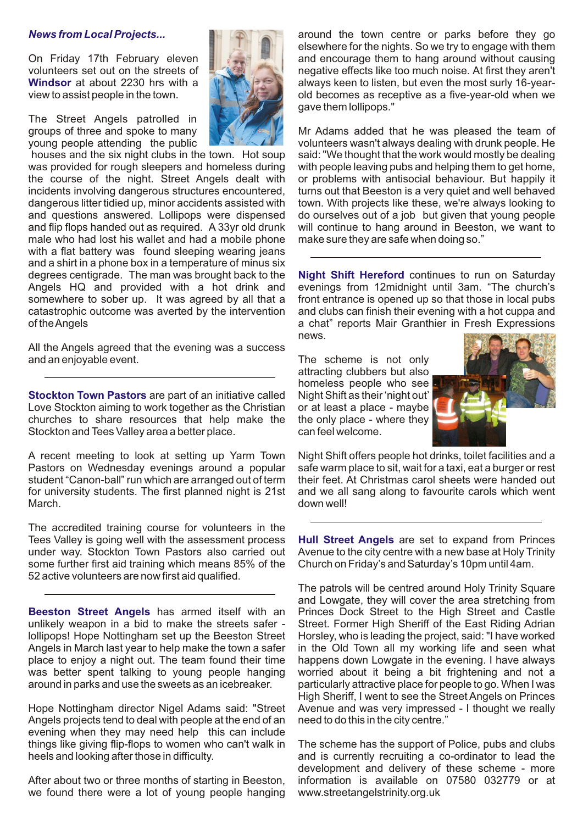### *News from Local Projects...*

**Windsor** at about 2230 hrs with a

The Street Angels patrolled in

was provided for rough sleepers and homeless during with people leaving pubs and helping them to get home, the course of the night. Street Angels dealt with or problems with antisocial behaviour. But happily it and questions answered. Lollipops were dispensed do ourselves out of a job but given that young people male who had lost his wallet and had a mobile phone make sure they are safe when doing so." with a flat battery was found sleeping wearing jeans and a shirt in a phone box in a temperature of minus six degrees centigrade. The man was brought back to the somewhere to sober up. It was agreed by all that a front entrance is opened up so that those in local pubs catastrophic outcome was averted by the intervention and clubs can finish their evening with a hot cuppa and of the Angels a chat" reports Mair Granthier in Fresh Expressions

All the Angels agreed that the evening was a success and an enjoyable event. The scheme is not only

**Stockton Town Pastors** are part of an initiative called Night Shift as their 'night out' Love Stockton aiming to work together as the Christian or at least a place - maybe churches to share resources that help make the the only place - where they churches to share resources that help make the Stockton and Tees Valley area a better place. can feel welcome.

A recent meeting to look at setting up Yarm Town Night Shift offers people hot drinks, toilet facilities and a<br>Pastors on Wednesday evenings around a popular safe warm place to sit, wait for a taxi, eat a burger or rest Pastors on Wednesday evenings around a popular student "Canon-ball" run which are arranged out of term their feet. At Christmas carol sheets were handed out for university students. The first planned night is 21st and we all sang along to favourite carols which went March. **March. March. March. March. March. March. March. March. March. March. March. March. March. March. March. March. March. March. March. March. March. March. March. March.** 

Tees Valley is going well with the assessment process Hull Street Angels are set to expand from Princes The accredited training course for volunteers in the under way. Stockton Town Pastors also carried out Avenue to the city centre with a new base at Holy Trinity some further first aid training which means 85% of the Church on Friday's and Saturday's 10pm until 4am. 52 active volunteers are now first aid qualified.

**Beeston Street Angels** has armed itself with an unlikely weapon in a bid to make the streets safer - Street. Former High Sheriff of the East Riding Adrian lollipops! Hope Nottingham set up the Beeston Street Horsley, who is leading the project, said: "I have worked Angels in March last year to help make the town a safer in the Old Town all my working life and seen what place to enjoy a night out. The team found their time happens down Lowgate in the evening. I have always was better spent talking to young people hanging worried about it being a bit frightening and not a around in parks and use the sweets as an icebreaker. particularly attractive place for people to go. When I was

Angels projects tend to deal with people at the end of an need to do this in the city centre." evening when they may need help this can include things like giving flip-flops to women who can't walk in The scheme has the support of Police, pubs and clubs heels and looking after those in difficulty. The same of and is currently recruiting a co-ordinator to lead the

we found there were a lot of young people hanging www.streetangelstrinity.org.uk

around the town centre or parks before they go elsewhere for the nights. So we try to engage with them On Friday 17th February eleven **and the state of the metal and encourage them to hang around without causing** volunteers set out on the streets of negative effects like too much noise. At first they aren't always keen to listen, but even the most surly 16-yearview to assist people in the town. **Only in the town.** old becomes as receptive as a five-year-old when we gave them lollipops."

groups of three and spoke to many Mr Mr Adams added that he was pleased the team of young people attending the public volunteers wasn't always dealing with drunk people. He<br>houses and the six night clubs in the town. Hot soup said: "We thought that the work would mostly be dealing said: "We thought that the work would mostly be dealing or problems with antisocial behaviour. But happily it incidents involving dangerous structures encountered, turns out that Beeston is a very quiet and well behaved dangerous litter tidied up, minor accidents assisted with town. With projects like these, we're always looking to and flip flops handed out as required. A 33yr old drunk will continue to hang around in Beeston, we want to

degrees centigrade. The man was brought back to the **Night Shift Hereford** continues to run on Saturday Angels HQ and provided with a hot drink and evenings from 12midnight until 3am. "The church's news.

> attracting clubbers but also homeless people who see



The patrols will be centred around Holy Trinity Square and Lowgate, they will cover the area stretching from Princes Dock Street to the High Street and Castle High Sheriff, I went to see the Street Angels on Princes Hope Nottingham director Nigel Adams said: "Street Avenue and was very impressed - I thought we really

development and delivery of these scheme - more After about two or three months of starting in Beeston, information is available on 07580 032779 or at